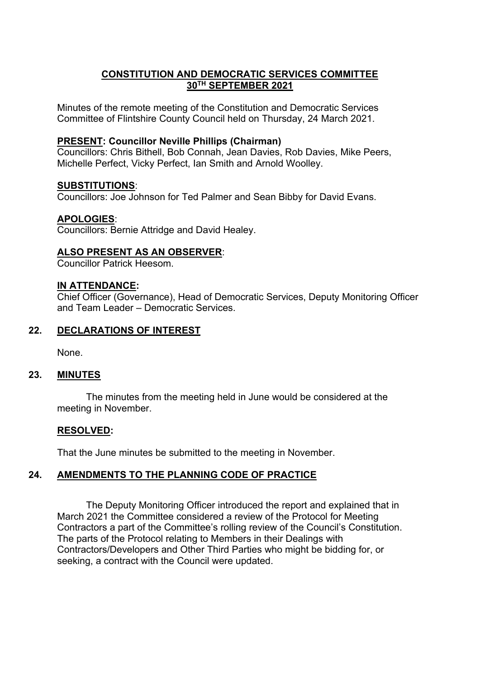## **CONSTITUTION AND DEMOCRATIC SERVICES COMMITTEE 30TH SEPTEMBER 2021**

Minutes of the remote meeting of the Constitution and Democratic Services Committee of Flintshire County Council held on Thursday, 24 March 2021.

### **PRESENT: Councillor Neville Phillips (Chairman)**

Councillors: Chris Bithell, Bob Connah, Jean Davies, Rob Davies, Mike Peers, Michelle Perfect, Vicky Perfect, Ian Smith and Arnold Woolley.

### **SUBSTITUTIONS**:

Councillors: Joe Johnson for Ted Palmer and Sean Bibby for David Evans.

## **APOLOGIES**:

Councillors: Bernie Attridge and David Healey.

## **ALSO PRESENT AS AN OBSERVER**:

Councillor Patrick Heesom.

### **IN ATTENDANCE:**

Chief Officer (Governance), Head of Democratic Services, Deputy Monitoring Officer and Team Leader – Democratic Services.

### **22. DECLARATIONS OF INTEREST**

None.

## **23. MINUTES**

The minutes from the meeting held in June would be considered at the meeting in November.

## **RESOLVED:**

That the June minutes be submitted to the meeting in November.

# **24. AMENDMENTS TO THE PLANNING CODE OF PRACTICE**

The Deputy Monitoring Officer introduced the report and explained that in March 2021 the Committee considered a review of the Protocol for Meeting Contractors a part of the Committee's rolling review of the Council's Constitution. The parts of the Protocol relating to Members in their Dealings with Contractors/Developers and Other Third Parties who might be bidding for, or seeking, a contract with the Council were updated.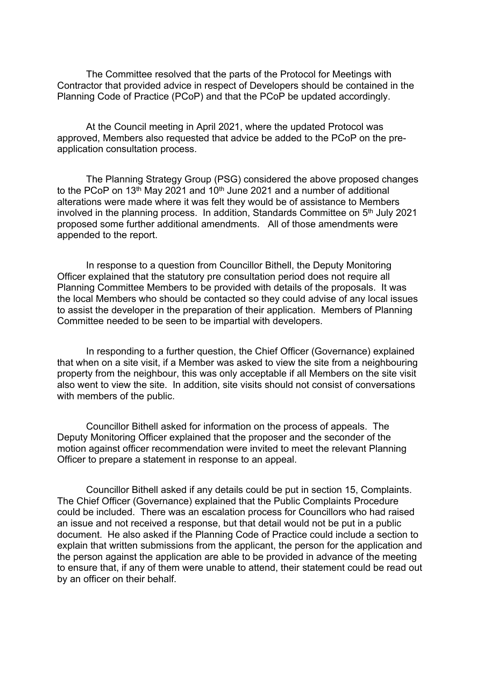The Committee resolved that the parts of the Protocol for Meetings with Contractor that provided advice in respect of Developers should be contained in the Planning Code of Practice (PCoP) and that the PCoP be updated accordingly.

At the Council meeting in April 2021, where the updated Protocol was approved, Members also requested that advice be added to the PCoP on the preapplication consultation process.

The Planning Strategy Group (PSG) considered the above proposed changes to the PCoP on 13<sup>th</sup> May 2021 and 10<sup>th</sup> June 2021 and a number of additional alterations were made where it was felt they would be of assistance to Members involved in the planning process. In addition, Standards Committee on 5<sup>th</sup> July 2021 proposed some further additional amendments. All of those amendments were appended to the report.

In response to a question from Councillor Bithell, the Deputy Monitoring Officer explained that the statutory pre consultation period does not require all Planning Committee Members to be provided with details of the proposals. It was the local Members who should be contacted so they could advise of any local issues to assist the developer in the preparation of their application. Members of Planning Committee needed to be seen to be impartial with developers.

In responding to a further question, the Chief Officer (Governance) explained that when on a site visit, if a Member was asked to view the site from a neighbouring property from the neighbour, this was only acceptable if all Members on the site visit also went to view the site. In addition, site visits should not consist of conversations with members of the public.

Councillor Bithell asked for information on the process of appeals. The Deputy Monitoring Officer explained that the proposer and the seconder of the motion against officer recommendation were invited to meet the relevant Planning Officer to prepare a statement in response to an appeal.

Councillor Bithell asked if any details could be put in section 15, Complaints. The Chief Officer (Governance) explained that the Public Complaints Procedure could be included. There was an escalation process for Councillors who had raised an issue and not received a response, but that detail would not be put in a public document. He also asked if the Planning Code of Practice could include a section to explain that written submissions from the applicant, the person for the application and the person against the application are able to be provided in advance of the meeting to ensure that, if any of them were unable to attend, their statement could be read out by an officer on their behalf.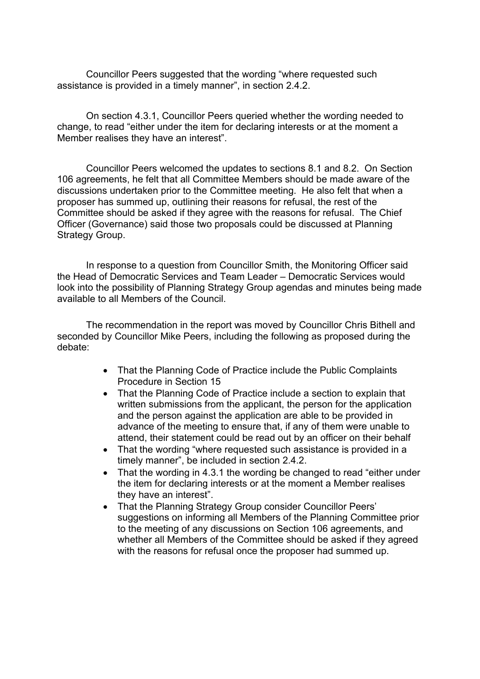Councillor Peers suggested that the wording "where requested such assistance is provided in a timely manner", in section 2.4.2.

On section 4.3.1, Councillor Peers queried whether the wording needed to change, to read "either under the item for declaring interests or at the moment a Member realises they have an interest".

Councillor Peers welcomed the updates to sections 8.1 and 8.2. On Section 106 agreements, he felt that all Committee Members should be made aware of the discussions undertaken prior to the Committee meeting. He also felt that when a proposer has summed up, outlining their reasons for refusal, the rest of the Committee should be asked if they agree with the reasons for refusal. The Chief Officer (Governance) said those two proposals could be discussed at Planning Strategy Group.

In response to a question from Councillor Smith, the Monitoring Officer said the Head of Democratic Services and Team Leader – Democratic Services would look into the possibility of Planning Strategy Group agendas and minutes being made available to all Members of the Council.

The recommendation in the report was moved by Councillor Chris Bithell and seconded by Councillor Mike Peers, including the following as proposed during the debate:

- That the Planning Code of Practice include the Public Complaints Procedure in Section 15
- That the Planning Code of Practice include a section to explain that written submissions from the applicant, the person for the application and the person against the application are able to be provided in advance of the meeting to ensure that, if any of them were unable to attend, their statement could be read out by an officer on their behalf
- That the wording "where requested such assistance is provided in a timely manner", be included in section 2.4.2.
- That the wording in 4.3.1 the wording be changed to read "either under the item for declaring interests or at the moment a Member realises they have an interest".
- That the Planning Strategy Group consider Councillor Peers' suggestions on informing all Members of the Planning Committee prior to the meeting of any discussions on Section 106 agreements, and whether all Members of the Committee should be asked if they agreed with the reasons for refusal once the proposer had summed up.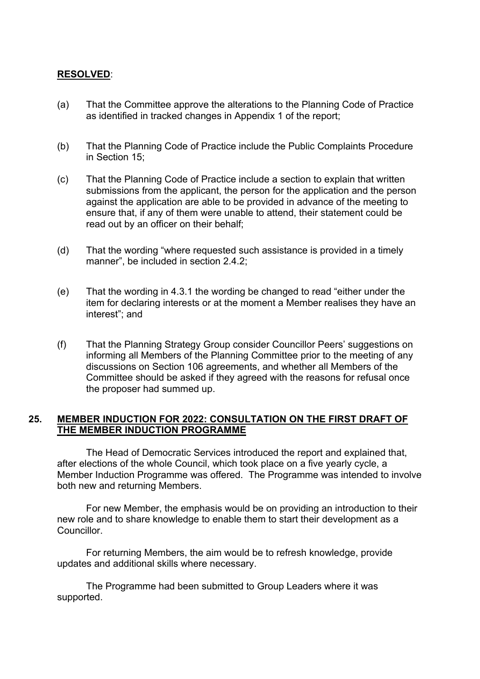# **RESOLVED**:

- (a) That the Committee approve the alterations to the Planning Code of Practice as identified in tracked changes in Appendix 1 of the report;
- (b) That the Planning Code of Practice include the Public Complaints Procedure in Section 15;
- (c) That the Planning Code of Practice include a section to explain that written submissions from the applicant, the person for the application and the person against the application are able to be provided in advance of the meeting to ensure that, if any of them were unable to attend, their statement could be read out by an officer on their behalf;
- (d) That the wording "where requested such assistance is provided in a timely manner", be included in section 2.4.2;
- (e) That the wording in 4.3.1 the wording be changed to read "either under the item for declaring interests or at the moment a Member realises they have an interest"; and
- (f) That the Planning Strategy Group consider Councillor Peers' suggestions on informing all Members of the Planning Committee prior to the meeting of any discussions on Section 106 agreements, and whether all Members of the Committee should be asked if they agreed with the reasons for refusal once the proposer had summed up.

## **25. MEMBER INDUCTION FOR 2022: CONSULTATION ON THE FIRST DRAFT OF THE MEMBER INDUCTION PROGRAMME**

The Head of Democratic Services introduced the report and explained that, after elections of the whole Council, which took place on a five yearly cycle, a Member Induction Programme was offered. The Programme was intended to involve both new and returning Members.

For new Member, the emphasis would be on providing an introduction to their new role and to share knowledge to enable them to start their development as a **Councillor** 

For returning Members, the aim would be to refresh knowledge, provide updates and additional skills where necessary.

The Programme had been submitted to Group Leaders where it was supported.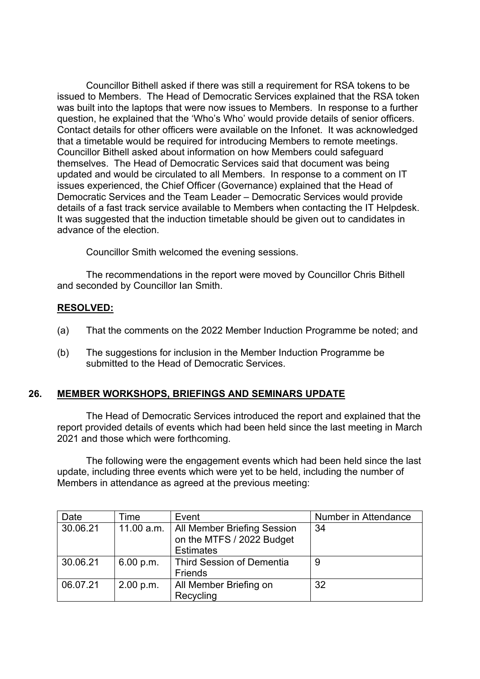Councillor Bithell asked if there was still a requirement for RSA tokens to be issued to Members. The Head of Democratic Services explained that the RSA token was built into the laptops that were now issues to Members. In response to a further question, he explained that the 'Who's Who' would provide details of senior officers. Contact details for other officers were available on the Infonet. It was acknowledged that a timetable would be required for introducing Members to remote meetings. Councillor Bithell asked about information on how Members could safeguard themselves. The Head of Democratic Services said that document was being updated and would be circulated to all Members. In response to a comment on IT issues experienced, the Chief Officer (Governance) explained that the Head of Democratic Services and the Team Leader – Democratic Services would provide details of a fast track service available to Members when contacting the IT Helpdesk. It was suggested that the induction timetable should be given out to candidates in advance of the election.

Councillor Smith welcomed the evening sessions.

The recommendations in the report were moved by Councillor Chris Bithell and seconded by Councillor Ian Smith.

## **RESOLVED:**

- (a) That the comments on the 2022 Member Induction Programme be noted; and
- (b) The suggestions for inclusion in the Member Induction Programme be submitted to the Head of Democratic Services.

# **26. MEMBER WORKSHOPS, BRIEFINGS AND SEMINARS UPDATE**

The Head of Democratic Services introduced the report and explained that the report provided details of events which had been held since the last meeting in March 2021 and those which were forthcoming.

The following were the engagement events which had been held since the last update, including three events which were yet to be held, including the number of Members in attendance as agreed at the previous meeting:

| Date     | Гіmе      | Event                                                                                     | Number in Attendance |
|----------|-----------|-------------------------------------------------------------------------------------------|----------------------|
| 30.06.21 |           | 11.00 a.m.   All Member Briefing Session<br>on the MTFS / 2022 Budget<br><b>Estimates</b> | 34                   |
| 30.06.21 | 6.00 p.m. | <b>Third Session of Dementia</b><br>Friends                                               | 9                    |
| 06.07.21 | 2.00 p.m. | All Member Briefing on<br>Recycling                                                       | 32                   |